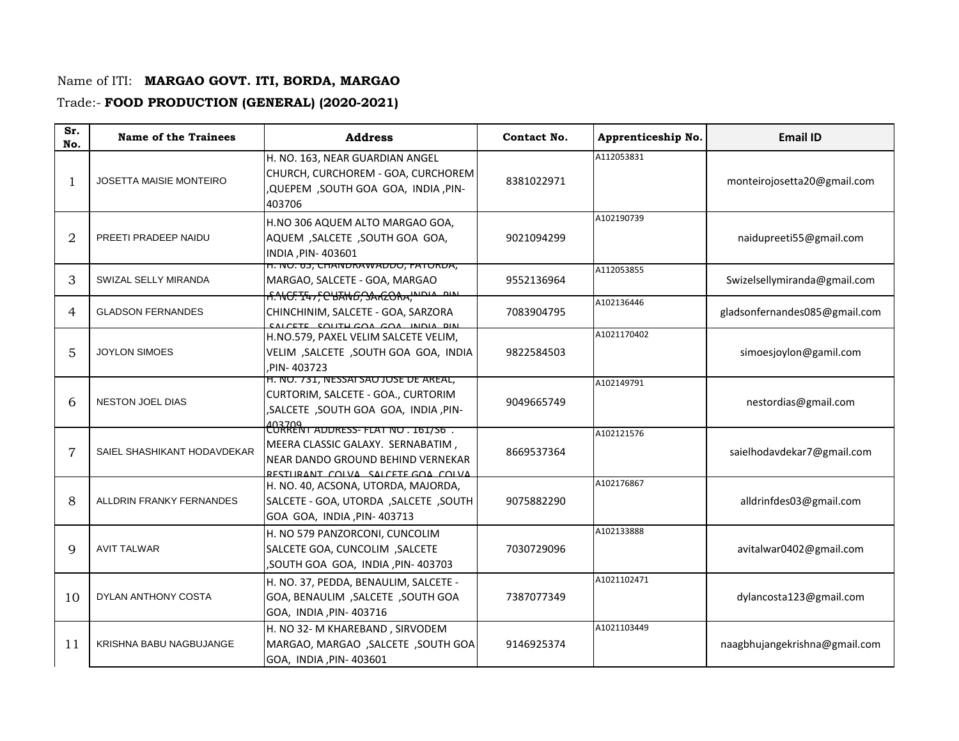## Name of ITI: **MARGAO GOVT. ITI, BORDA, MARGAO**

## Trade:- **FOOD PRODUCTION (GENERAL) (2020-2021)**

| Sr.<br>No.     | <b>Name of the Trainees</b>    | <b>Address</b>                                                                                                                                         | Contact No. | Apprenticeship No. | <b>Email ID</b>               |
|----------------|--------------------------------|--------------------------------------------------------------------------------------------------------------------------------------------------------|-------------|--------------------|-------------------------------|
|                | <b>JOSETTA MAISIE MONTEIRO</b> | H. NO. 163, NEAR GUARDIAN ANGEL<br>CHURCH, CURCHOREM - GOA, CURCHOREM<br>,QUEPEM ,SOUTH GOA GOA, INDIA, PIN-<br>403706                                 | 8381022971  | A112053831         | monteirojosetta20@gmail.com   |
| $\overline{2}$ | PREETI PRADEEP NAIDU           | H.NO 306 AQUEM ALTO MARGAO GOA,<br>AQUEM , SALCETE , SOUTH GOA GOA,<br>INDIA, PIN-403601                                                               | 9021094299  | A102190739         | naidupreeti55@gmail.com       |
| 3              | SWIZAL SELLY MIRANDA           | H. INU. 03, CHAINDRAWADDU, FATURDA,<br>MARGAO, SALCETE - GOA, MARGAO                                                                                   | 9552136964  | A112053855         | Swizelsellymiranda@gmail.com  |
| 4              | <b>GLADSON FERNANDES</b>       | A.NG.TE47, CHTH6, SAREORA, INDIA DIN<br>CHINCHINIM, SALCETE - GOA, SARZORA<br>CALCETE COUTH COA COA INDIA DIN                                          | 7083904795  | A102136446         | gladsonfernandes085@gmail.com |
| 5              | <b>JOYLON SIMOES</b>           | H.NO.579, PAXEL VELIM SALCETE VELIM,<br>VELIM, SALCETE, SOUTH GOA GOA, INDIA<br>PIN-403723                                                             | 9822584503  | A1021170402        | simoesjoylon@gamil.com        |
| 6              | <b>NESTON JOEL DIAS</b>        | H. NO. 731, NESSAI SAO JOSE DE AREAL,<br>CURTORIM, SALCETE - GOA., CURTORIM<br>,SALCETE ,SOUTH GOA GOA, INDIA, PIN-                                    | 9049665749  | A102149791         | nestordias@gmail.com          |
| 7              | SAIEL SHASHIKANT HODAVDEKAR    | <u>CORTENT ADDRESS-FLAT NO. 161/S6.</u><br>MEERA CLASSIC GALAXY. SERNABATIM,<br>NEAR DANDO GROUND BEHIND VERNEKAR<br>RESTURANT COLVA SALCETE GOA COLVA | 8669537364  | A102121576         | saielhodavdekar7@gmail.com    |
| 8              | ALLDRIN FRANKY FERNANDES       | H. NO. 40, ACSONA, UTORDA, MAJORDA,<br>SALCETE - GOA, UTORDA, SALCETE, SOUTH<br>GOA GOA, INDIA, PIN- 403713                                            | 9075882290  | A102176867         | alldrinfdes03@gmail.com       |
| $\mathbf Q$    | <b>AVIT TALWAR</b>             | H. NO 579 PANZORCONI, CUNCOLIM<br>SALCETE GOA, CUNCOLIM, SALCETE<br>, SOUTH GOA GOA, INDIA, PIN-403703                                                 | 7030729096  | A102133888         | avitalwar0402@gmail.com       |
| 10             | <b>DYLAN ANTHONY COSTA</b>     | H. NO. 37, PEDDA, BENAULIM, SALCETE -<br>GOA, BENAULIM, SALCETE, SOUTH GOA<br>GOA, INDIA, PIN-403716                                                   | 7387077349  | A1021102471        | dylancosta123@gmail.com       |
| 11             | KRISHNA BABU NAGBUJANGE        | H. NO 32- M KHAREBAND, SIRVODEM<br>MARGAO, MARGAO, SALCETE, SOUTH GOA<br>GOA, INDIA, PIN- 403601                                                       | 9146925374  | A1021103449        | naagbhujangekrishna@gmail.com |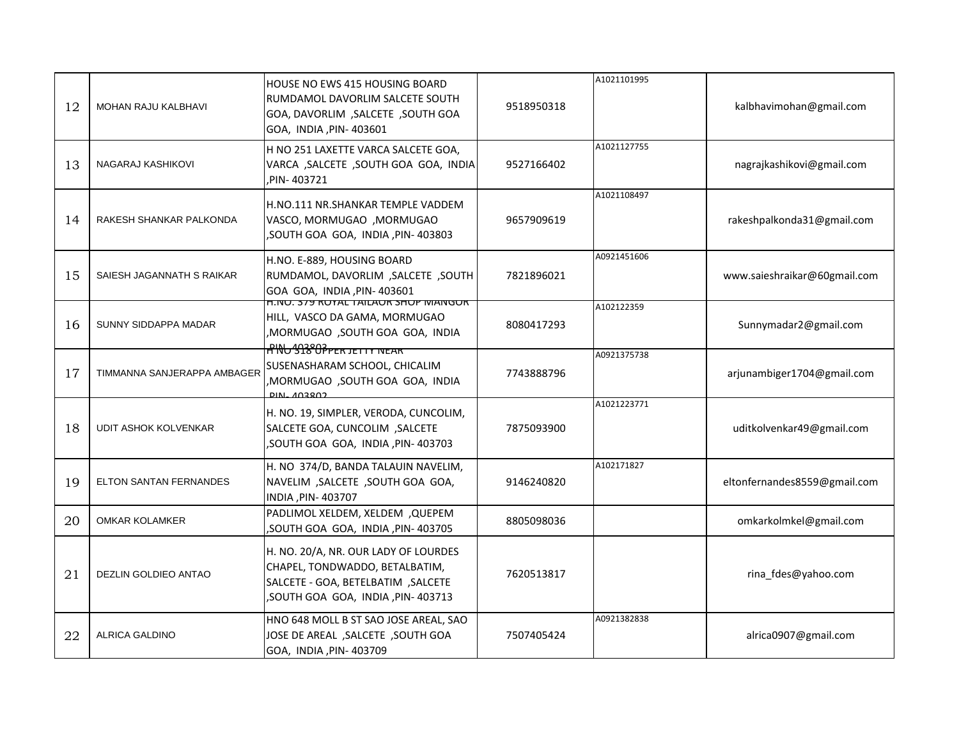| 12 | <b>MOHAN RAJU KALBHAVI</b>  | HOUSE NO EWS 415 HOUSING BOARD<br>RUMDAMOL DAVORLIM SALCETE SOUTH<br>GOA, DAVORLIM, SALCETE, SOUTH GOA<br>GOA, INDIA, PIN-403601                   | 9518950318 | A1021101995 | kalbhavimohan@gmail.com      |
|----|-----------------------------|----------------------------------------------------------------------------------------------------------------------------------------------------|------------|-------------|------------------------------|
| 13 | NAGARAJ KASHIKOVI           | H NO 251 LAXETTE VARCA SALCETE GOA,<br>VARCA , SALCETE , SOUTH GOA GOA, INDIA<br>PIN-403721                                                        | 9527166402 | A1021127755 | nagrajkashikovi@gmail.com    |
| 14 | RAKESH SHANKAR PALKONDA     | H.NO.111 NR.SHANKAR TEMPLE VADDEM<br>VASCO, MORMUGAO , MORMUGAO<br>,SOUTH GOA GOA, INDIA, PIN-403803                                               | 9657909619 | A1021108497 | rakeshpalkonda31@gmail.com   |
| 15 | SAIESH JAGANNATH S RAIKAR   | H.NO. E-889, HOUSING BOARD<br>RUMDAMOL, DAVORLIM , SALCETE , SOUTH<br>GOA GOA, INDIA, PIN-403601                                                   | 7821896021 | A0921451606 | www.saieshraikar@60gmail.com |
| 16 | SUNNY SIDDAPPA MADAR        | H.NU. 379 RUTAL TAILAUR SHUP MANGUR<br>HILL, VASCO DA GAMA, MORMUGAO<br>MORMUGAO ,SOUTH GOA GOA, INDIA                                             | 8080417293 | A102122359  | Sunnymadar2@gmail.com        |
| 17 | TIMMANNA SANJERAPPA AMBAGER | <b>ANU 338 OPPER JETTY NEAR</b><br>SUSENASHARAM SCHOOL, CHICALIM<br>,MORMUGAO ,SOUTH GOA GOA, INDIA<br><b>DINL 402802</b>                          | 7743888796 | A0921375738 | arjunambiger1704@gmail.com   |
| 18 | <b>UDIT ASHOK KOLVENKAR</b> | H. NO. 19, SIMPLER, VERODA, CUNCOLIM,<br>SALCETE GOA, CUNCOLIM, SALCETE<br>, SOUTH GOA GOA, INDIA, PIN-403703                                      | 7875093900 | A1021223771 | uditkolvenkar49@gmail.com    |
| 19 | ELTON SANTAN FERNANDES      | H. NO 374/D, BANDA TALAUIN NAVELIM,<br>NAVELIM, SALCETE, SOUTH GOA GOA,<br>INDIA, PIN-403707                                                       | 9146240820 | A102171827  | eltonfernandes8559@gmail.com |
| 20 | <b>OMKAR KOLAMKER</b>       | PADLIMOL XELDEM, XELDEM, QUEPEM<br>, SOUTH GOA GOA, INDIA, PIN-403705                                                                              | 8805098036 |             | omkarkolmkel@gmail.com       |
| 21 | DEZLIN GOLDIEO ANTAO        | H. NO. 20/A, NR. OUR LADY OF LOURDES<br>CHAPEL, TONDWADDO, BETALBATIM,<br>SALCETE - GOA, BETELBATIM, SALCETE<br>, SOUTH GOA GOA, INDIA, PIN-403713 | 7620513817 |             | rina_fdes@yahoo.com          |
| 22 | <b>ALRICA GALDINO</b>       | HNO 648 MOLL B ST SAO JOSE AREAL, SAO<br>JOSE DE AREAL , SALCETE , SOUTH GOA<br>GOA, INDIA, PIN- 403709                                            | 7507405424 | A0921382838 | alrica0907@gmail.com         |